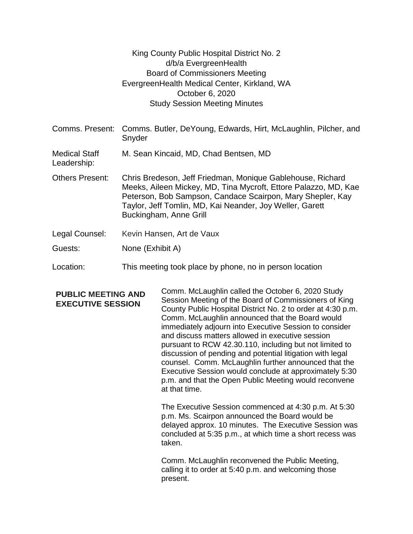| King County Public Hospital District No. 2    |
|-----------------------------------------------|
| d/b/a EvergreenHealth                         |
| <b>Board of Commissioners Meeting</b>         |
| Evergreen Health Medical Center, Kirkland, WA |
| October 6, 2020                               |
| <b>Study Session Meeting Minutes</b>          |

| Comms. Butler, DeYoung, Edwards, Hirt, McLaughlin, Pilcher, and<br>Comms. Present:<br>Snyder                                                                                                                                                                                      |
|-----------------------------------------------------------------------------------------------------------------------------------------------------------------------------------------------------------------------------------------------------------------------------------|
| M. Sean Kincaid, MD, Chad Bentsen, MD                                                                                                                                                                                                                                             |
| Chris Bredeson, Jeff Friedman, Monique Gablehouse, Richard<br>Meeks, Aileen Mickey, MD, Tina Mycroft, Ettore Palazzo, MD, Kae<br>Peterson, Bob Sampson, Candace Scairpon, Mary Shepler, Kay<br>Taylor, Jeff Tomlin, MD, Kai Neander, Joy Weller, Garett<br>Buckingham, Anne Grill |
| Kevin Hansen, Art de Vaux                                                                                                                                                                                                                                                         |
|                                                                                                                                                                                                                                                                                   |

- Guests: None (Exhibit A)
- Location: This meeting took place by phone, no in person location

## **PUBLIC MEETING AND EXECUTIVE SESSION**

Comm. McLaughlin called the October 6, 2020 Study Session Meeting of the Board of Commissioners of King County Public Hospital District No. 2 to order at 4:30 p.m. Comm. McLaughlin announced that the Board would immediately adjourn into Executive Session to consider and discuss matters allowed in executive session pursuant to RCW 42.30.110, including but not limited to discussion of pending and potential litigation with legal counsel. Comm. McLaughlin further announced that the Executive Session would conclude at approximately 5:30 p.m. and that the Open Public Meeting would reconvene at that time.

The Executive Session commenced at 4:30 p.m. At 5:30 p.m. Ms. Scairpon announced the Board would be delayed approx. 10 minutes. The Executive Session was concluded at 5:35 p.m., at which time a short recess was taken.

Comm. McLaughlin reconvened the Public Meeting, calling it to order at 5:40 p.m. and welcoming those present.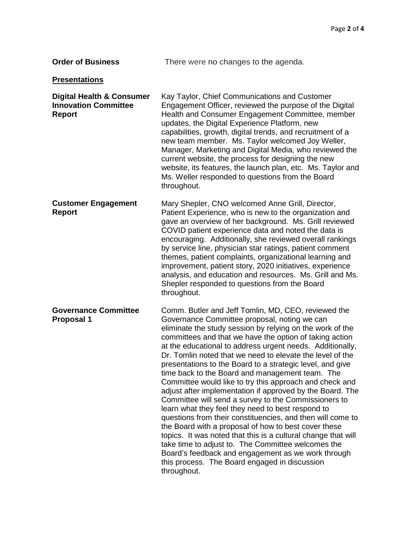| <b>Order of Business</b>                                                             | There were no changes to the agenda.                                                                                                                                                                                                                                                                                                                                                                                                                                                                                                                                                                                                                                                                                                                                                                                                                                                                                                                                                                                                                                          |  |  |
|--------------------------------------------------------------------------------------|-------------------------------------------------------------------------------------------------------------------------------------------------------------------------------------------------------------------------------------------------------------------------------------------------------------------------------------------------------------------------------------------------------------------------------------------------------------------------------------------------------------------------------------------------------------------------------------------------------------------------------------------------------------------------------------------------------------------------------------------------------------------------------------------------------------------------------------------------------------------------------------------------------------------------------------------------------------------------------------------------------------------------------------------------------------------------------|--|--|
| <b>Presentations</b>                                                                 |                                                                                                                                                                                                                                                                                                                                                                                                                                                                                                                                                                                                                                                                                                                                                                                                                                                                                                                                                                                                                                                                               |  |  |
| <b>Digital Health &amp; Consumer</b><br><b>Innovation Committee</b><br><b>Report</b> | Kay Taylor, Chief Communications and Customer<br>Engagement Officer, reviewed the purpose of the Digital<br>Health and Consumer Engagement Committee, member<br>updates, the Digital Experience Platform, new<br>capabilities, growth, digital trends, and recruitment of a<br>new team member. Ms. Taylor welcomed Joy Weller,<br>Manager, Marketing and Digital Media, who reviewed the<br>current website, the process for designing the new<br>website, its features, the launch plan, etc. Ms. Taylor and<br>Ms. Weller responded to questions from the Board<br>throughout.                                                                                                                                                                                                                                                                                                                                                                                                                                                                                             |  |  |
| <b>Customer Engagement</b><br><b>Report</b>                                          | Mary Shepler, CNO welcomed Anne Grill, Director,<br>Patient Experience, who is new to the organization and<br>gave an overview of her background. Ms. Grill reviewed<br>COVID patient experience data and noted the data is<br>encouraging. Additionally, she reviewed overall rankings<br>by service line, physician star ratings, patient comment<br>themes, patient complaints, organizational learning and<br>improvement, patient story, 2020 initiatives, experience<br>analysis, and education and resources. Ms. Grill and Ms.<br>Shepler responded to questions from the Board<br>throughout.                                                                                                                                                                                                                                                                                                                                                                                                                                                                        |  |  |
| <b>Governance Committee</b><br><b>Proposal 1</b>                                     | Comm. Butler and Jeff Tomlin, MD, CEO, reviewed the<br>Governance Committee proposal, noting we can<br>eliminate the study session by relying on the work of the<br>committees and that we have the option of taking action<br>at the educational to address urgent needs. Additionally,<br>Dr. Tomlin noted that we need to elevate the level of the<br>presentations to the Board to a strategic level, and give<br>time back to the Board and management team. The<br>Committee would like to try this approach and check and<br>adjust after implementation if approved by the Board. The<br>Committee will send a survey to the Commissioners to<br>learn what they feel they need to best respond to<br>questions from their constituencies, and then will come to<br>the Board with a proposal of how to best cover these<br>topics. It was noted that this is a cultural change that will<br>take time to adjust to. The Committee welcomes the<br>Board's feedback and engagement as we work through<br>this process. The Board engaged in discussion<br>throughout. |  |  |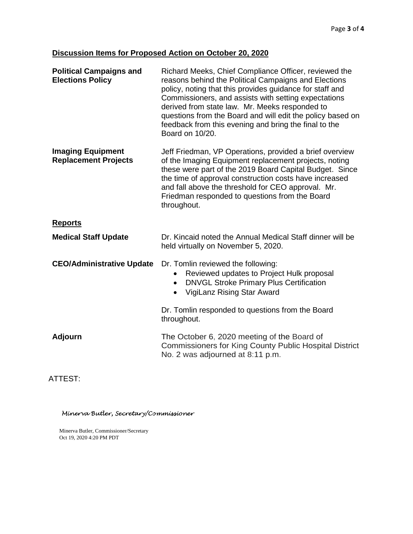## **Discussion Items for Proposed Action on October 20, 2020**

| <b>Political Campaigns and</b><br><b>Elections Policy</b> | Richard Meeks, Chief Compliance Officer, reviewed the<br>reasons behind the Political Campaigns and Elections<br>policy, noting that this provides guidance for staff and<br>Commissioners, and assists with setting expectations<br>derived from state law. Mr. Meeks responded to<br>questions from the Board and will edit the policy based on<br>feedback from this evening and bring the final to the<br>Board on 10/20. |  |
|-----------------------------------------------------------|-------------------------------------------------------------------------------------------------------------------------------------------------------------------------------------------------------------------------------------------------------------------------------------------------------------------------------------------------------------------------------------------------------------------------------|--|
| <b>Imaging Equipment</b><br><b>Replacement Projects</b>   | Jeff Friedman, VP Operations, provided a brief overview<br>of the Imaging Equipment replacement projects, noting<br>these were part of the 2019 Board Capital Budget. Since<br>the time of approval construction costs have increased<br>and fall above the threshold for CEO approval. Mr.<br>Friedman responded to questions from the Board<br>throughout.                                                                  |  |
| <b>Reports</b>                                            |                                                                                                                                                                                                                                                                                                                                                                                                                               |  |
| <b>Medical Staff Update</b>                               | Dr. Kincaid noted the Annual Medical Staff dinner will be<br>held virtually on November 5, 2020.                                                                                                                                                                                                                                                                                                                              |  |
| <b>CEO/Administrative Update</b>                          | Dr. Tomlin reviewed the following:<br>Reviewed updates to Project Hulk proposal<br>$\bullet$<br><b>DNVGL Stroke Primary Plus Certification</b><br>$\bullet$<br>VigiLanz Rising Star Award                                                                                                                                                                                                                                     |  |
|                                                           | Dr. Tomlin responded to questions from the Board<br>throughout.                                                                                                                                                                                                                                                                                                                                                               |  |
| <b>Adjourn</b>                                            | The October 6, 2020 meeting of the Board of<br><b>Commissioners for King County Public Hospital District</b><br>No. 2 was adjourned at 8:11 p.m.                                                                                                                                                                                                                                                                              |  |
|                                                           |                                                                                                                                                                                                                                                                                                                                                                                                                               |  |

ATTEST:

Minerva Butler, Secretary/Commissioner

Minerva Butler, Commissioner/Secretary Oct 19, 2020 4:20 PM PDT